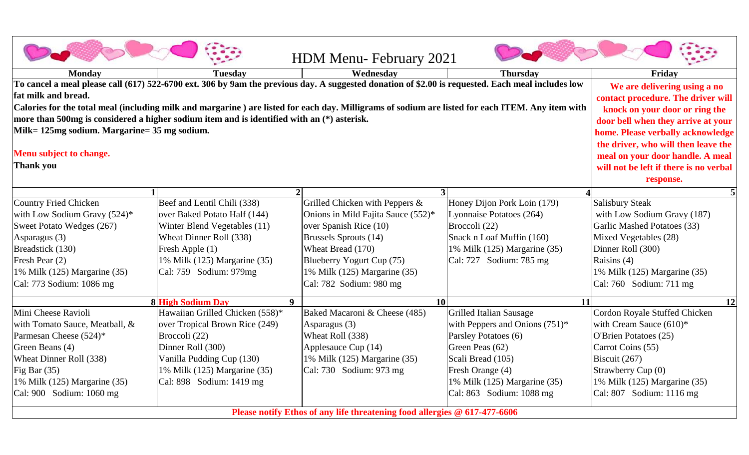|                                                                                                                                                   |                                        | <b>HDM Menu-February 2021</b>      |                                   |                               |  |  |
|---------------------------------------------------------------------------------------------------------------------------------------------------|----------------------------------------|------------------------------------|-----------------------------------|-------------------------------|--|--|
| <b>Monday</b>                                                                                                                                     | <b>Tuesday</b>                         | Wednesday                          | <b>Thursday</b>                   | Friday                        |  |  |
| To cancel a meal please call (617) 522-6700 ext. 306 by 9am the previous day. A suggested donation of \$2.00 is requested. Each meal includes low | We are delivering using a no           |                                    |                                   |                               |  |  |
| fat milk and bread.                                                                                                                               | contact procedure. The driver will     |                                    |                                   |                               |  |  |
| Calories for the total meal (including milk and margarine) are listed for each day. Milligrams of sodium are listed for each ITEM. Any item with  | knock on your door or ring the         |                                    |                                   |                               |  |  |
| more than 500mg is considered a higher sodium item and is identified with an (*) asterisk.                                                        | door bell when they arrive at your     |                                    |                                   |                               |  |  |
| Milk= 125mg sodium. Margarine= 35 mg sodium.                                                                                                      | home. Please verbally acknowledge      |                                    |                                   |                               |  |  |
|                                                                                                                                                   | the driver, who will then leave the    |                                    |                                   |                               |  |  |
| Menu subject to change.                                                                                                                           | meal on your door handle. A meal       |                                    |                                   |                               |  |  |
| <b>Thank you</b>                                                                                                                                  | will not be left if there is no verbal |                                    |                                   |                               |  |  |
|                                                                                                                                                   |                                        |                                    |                                   | response.                     |  |  |
|                                                                                                                                                   |                                        |                                    |                                   |                               |  |  |
| <b>Country Fried Chicken</b>                                                                                                                      | Beef and Lentil Chili (338)            | Grilled Chicken with Peppers &     | Honey Dijon Pork Loin (179)       | <b>Salisbury Steak</b>        |  |  |
| with Low Sodium Gravy $(524)^*$                                                                                                                   | over Baked Potato Half (144)           | Onions in Mild Fajita Sauce (552)* | Lyonnaise Potatoes (264)          | with Low Sodium Gravy (187)   |  |  |
| Sweet Potato Wedges (267)                                                                                                                         | Winter Blend Vegetables (11)           | over Spanish Rice (10)             | Broccoli (22)                     | Garlic Mashed Potatoes (33)   |  |  |
| Asparagus (3)                                                                                                                                     | Wheat Dinner Roll (338)                | <b>Brussels Sprouts (14)</b>       | Snack n Loaf Muffin (160)         | Mixed Vegetables (28)         |  |  |
| Breadstick (130)                                                                                                                                  | Fresh Apple (1)                        | Wheat Bread (170)                  | 1% Milk (125) Margarine (35)      | Dinner Roll (300)             |  |  |
| Fresh Pear (2)                                                                                                                                    | 1% Milk (125) Margarine (35)           | Blueberry Yogurt Cup (75)          | Cal: 727 Sodium: 785 mg           | Raisins (4)                   |  |  |
| 1% Milk (125) Margarine (35)                                                                                                                      | Cal: 759 Sodium: 979mg                 | 1% Milk (125) Margarine (35)       |                                   | 1% Milk (125) Margarine (35)  |  |  |
| Cal: 773 Sodium: 1086 mg                                                                                                                          |                                        | Cal: 782 Sodium: 980 mg            |                                   | Cal: 760 Sodium: 711 mg       |  |  |
|                                                                                                                                                   | <b>8 High Sodium Day</b><br><b>9</b>   | 10                                 | <b>11</b>                         | <b>12</b>                     |  |  |
| Mini Cheese Ravioli                                                                                                                               | Hawaiian Grilled Chicken (558)*        | Baked Macaroni & Cheese (485)      | <b>Grilled Italian Sausage</b>    | Cordon Royale Stuffed Chicken |  |  |
| with Tomato Sauce, Meatball, &                                                                                                                    | over Tropical Brown Rice (249)         | Asparagus (3)                      | with Peppers and Onions $(751)^*$ | with Cream Sauce $(610)^*$    |  |  |
| Parmesan Cheese (524)*                                                                                                                            | Broccoli (22)                          | Wheat Roll (338)                   | Parsley Potatoes (6)              | O'Brien Potatoes (25)         |  |  |
| Green Beans (4)                                                                                                                                   | Dinner Roll (300)                      | Applesauce Cup (14)                | Green Peas (62)                   | Carrot Coins (55)             |  |  |
| Wheat Dinner Roll (338)                                                                                                                           | Vanilla Pudding Cup (130)              | 1% Milk (125) Margarine (35)       | Scali Bread (105)                 | Biscuit (267)                 |  |  |
| Fig Bar $(35)$                                                                                                                                    | 1% Milk (125) Margarine (35)           | Cal: 730 Sodium: 973 mg            | Fresh Orange (4)                  | Strawberry Cup (0)            |  |  |
| 1% Milk (125) Margarine (35)                                                                                                                      | Cal: 898 Sodium: 1419 mg               |                                    | 1% Milk (125) Margarine (35)      | 1% Milk (125) Margarine (35)  |  |  |
| Cal: 900 Sodium: 1060 mg                                                                                                                          |                                        |                                    | Cal: 863 Sodium: 1088 mg          | Cal: 807 Sodium: 1116 mg      |  |  |
| Please notify Ethos of any life threatening food allergies @ 617-477-6606                                                                         |                                        |                                    |                                   |                               |  |  |